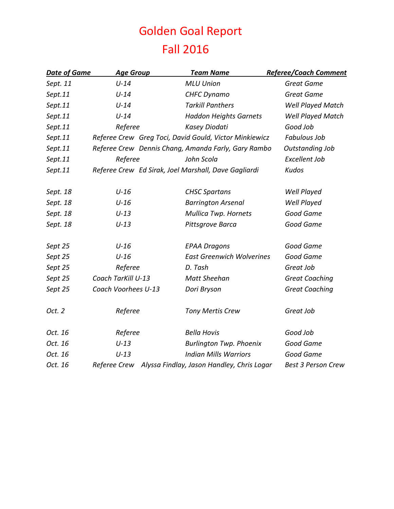## Golden Goal Report Fall 2016

| <b>Date of Game</b> | <b>Age Group</b>    | <b>Team Name</b>                                       | <b>Referee/Coach Comment</b> |
|---------------------|---------------------|--------------------------------------------------------|------------------------------|
| Sept. 11            | $U-14$              | <b>MLU Union</b>                                       | <b>Great Game</b>            |
| Sept.11             | $U-14$              | <b>CHFC Dynamo</b>                                     | <b>Great Game</b>            |
| Sept.11             | $U-14$              | <b>Tarkill Panthers</b>                                | Well Played Match            |
| Sept.11             | $U-14$              | <b>Haddon Heights Garnets</b>                          | Well Played Match            |
| Sept.11             | Referee             | Kasey Diodati                                          | Good Job                     |
| Sept.11             |                     | Referee Crew Greg Toci, David Gould, Victor Minkiewicz | <b>Fabulous Job</b>          |
| Sept.11             |                     | Referee Crew Dennis Chang, Amanda Farly, Gary Rambo    | <b>Outstanding Job</b>       |
| Sept.11             | Referee             | John Scola                                             | <b>Excellent Job</b>         |
| Sept.11             |                     | Referee Crew Ed Sirak, Joel Marshall, Dave Gagliardi   | <b>Kudos</b>                 |
| Sept. 18            | $U-16$              | <b>CHSC Spartans</b>                                   | Well Played                  |
| Sept. 18            | $U-16$              | <b>Barrington Arsenal</b>                              | Well Played                  |
| Sept. 18            | $U-13$              | <b>Mullica Twp. Hornets</b>                            | Good Game                    |
| Sept. 18            | $U-13$              | Pittsgrove Barca                                       | Good Game                    |
| Sept 25             | $U-16$              | <b>EPAA Dragons</b>                                    | Good Game                    |
| Sept 25             | $U-16$              | <b>East Greenwich Wolverines</b>                       | Good Game                    |
| Sept 25             | Referee             | D. Tash                                                | Great Job                    |
| Sept 25             | Coach TarKill U-13  | Matt Sheehan                                           | <b>Great Coaching</b>        |
| Sept 25             | Coach Voorhees U-13 | Dori Bryson                                            | <b>Great Coaching</b>        |
| Oct. 2              | Referee             | Tony Mertis Crew                                       | Great Job                    |
| Oct. 16             | Referee             | <b>Bella Hovis</b>                                     | Good Job                     |
| Oct. 16             | $U-13$              | <b>Burlington Twp. Phoenix</b>                         | Good Game                    |
| Oct. 16             | $U-13$              | <b>Indian Mills Warriors</b>                           | Good Game                    |
| Oct. 16             | Referee Crew        | Alyssa Findlay, Jason Handley, Chris Logar             | <b>Best 3 Person Crew</b>    |